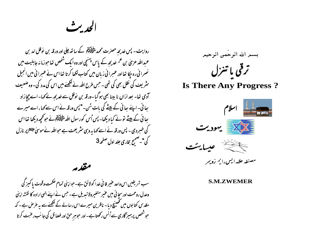الجدبث

روایت - پس خدیجہ حصرت محمد ملٹی ایک کے ساتھ جلی اور ورقہ بن نوفل امد بن عبداللہ عزیٰ بن عم غدیجہ کے پاس پہنچی اور وہ ایک شخص تعاحوزما نہ جاہلیت میں نصرا فی رہ جکا تھا اور عسرا نی زبان میں کتاب لکھا کرتا تھا اس نے عسرا نی میں انجیل سٹریف کی نقل بھی کی تھی۔ *جس طرح اللہ نے لکھنے میں اس* کی مدد کی۔ وہ صنعی<sub>ف</sub> کوی تھا- بعد ازاں نا بینا بھی ہوگیا-ورقہ بن نوفل سے خدیجہ نے کہا- اے چچاراد بھائی۔اپنے بھائی کے بیٹے کی بات سُن-"پس ورقہ نے اس سے کہا،اے میرے <u>بھائی کے بیٹے تونے کیا دیکھا</u>۔ پس <sub>اُس</sub> کورسول اللہ م<del>ٹاؤلیؒڈا</del> نے حو محمد دیکھا تھا اس کی خسر دی - پس ورقہ نے اسے کہا یہ وہی مثر یعت ہے حواللہ نے موسیٰ ملائقہ پر نازل کی"۔صحیح بخاری جلد اول صفحہ3

مقدم

سب تعریفیں اس واحد عنیر فانی غدا کولائق ہے۔حواپنی تمام حکمت وقوت پاکسز گی وعدل روحمت اورسحا ئي ميں عنير متغير ولا تبديل ہے۔ حس نے اپنے الهي ارادہ كا نقشہ اپنى مقدیں کتابوں میں تھینیج دیا۔ ناظرین میرے اس رسالے کے لکھنےسے یہ عرص ہے۔ کہ حوشنھس پرہمیز گاری سے اُنس رکھتاہے۔اور حوہر حق اور فضائل کی جا سب رعنبت کرتا بسمر الله الرحمن الرحيم ترقى با تىزل

**Is There Any Progress?** 



مصنفير علامه ايس وائم زويمر

**S.M.ZWEMER**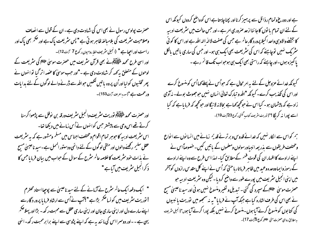حصرت پولوس رسول نے بھی اس کی شہادت دی ہے۔ان کے قول سے الصاف وصلاحیت سٹریعت کی بلامبالغہ ظاہر ہو تی ہے " پس سٹریعت پاک ہے اور حکم بھی پاک اور راست اور احصا ہے " (انجیل سٹریف خط رومیوں رکوع 7 آیت 12)۔ اور اسی طرح محمد م<del>لوَّایْلَہ</del>ٰم نے بھی قرآن مثر یف میں حصرت موسیٰ ملاَّت<sub>اک</sub>ی مثر یعت کے لوحوں کے متعلق بہ کھہ کر شہادت دی ہے ۔"اور حب موسیٰ کا عصہ اتر گیا لوٓ انہوں نے پھر تختیوں کو لیااور اُن پروہ یا تیں لکھیں حواللہ سے ڈرنے والے لوگوں کے لئے بدایات ورحمت ہے"(س<sub>ورہ اعرا</sub>ف آیت153)۔

اور حصرت محمد م<del>نٹی اِی</del>ں توریت سٹریف وانجیل سٹریف ورقہ بن نوفل سے پڑھوا کرسنا کرتے تھے اس وحی سے پیشتر حس کوانہوں نے اُس زمانے میں دیکھا تھا۔ اس سٹریعت ادبیہ کا حوہر تمام اقوام ومختلف اجناس میں مسلم ومشور ہے کہ بہ سٹریعت عقل سکیم رکھنے والوں اور متقی لوگوں کے لئے دائمی ودستور النمل ہے۔سید ناعیسیٰ مسیح نے مذات حود سٹریعت کا خلاصہ عا<sup>ل</sup>م سٹرح کے سوال کے حواب میں بیان فرمایا جس کا ذکرانجیل *مثر*یف میں آیاہے "

" ایک دفعہ ایک عا<sup>ل</sup>ہ مثرح نے آزمانے کے لئے سید ناعیسیٰ سے پو*چ*یااستاد محترم ! نوریت سٹریف میں کو نسا ضم بڑاہے "؟آپ نے اُس سے ارشاد فرما یا پرور د گارسے اپنے سارے دل اور اپنی ساری جان اور اپنی ساری عقل سے محبت رکھ۔ بڑا اور پہلا صحمہ یہی ہے - -اور دوسمرااس کی مانند یہ ہے کہ اپنے پڑوسی سے اپنے برا بر محبت رکھ۔انہی

ہے اور دورغ و تمام رذائل سے پر ہمیر کرنا اور بچنا چاہتا ہے اس کو واضح کردوں کیونکہ اس کے لئے ان تمام یا نوں کاجا ننا ازحد صروری امر ہے -اور جس حالت میں سٹریعت ادبیہ کا بخشنے والاوہی واحد اکمیلا پرورد گار عالم ہے جس کی صفت لاالہ االہ اللہ ہے اور اس کا کو ئی سٹر یک نہیں توچاہئے کہ اس کی سٹریعت بھی ایک ہی ہو۔اور جس کی ساری پاتیں پالکل یا کمیزہ ہوں۔اور چاہئے کہ راستی بھی ایک ہی ہوحواب تک قائم رہے ۔

کیونکہ غدائے عزوجل کے لئے یہ امر محال ہے کہ حواُس نے پہلے کہااُس کو منسوخ کرے اور اس کی تکذیب کرے۔ کیونکہ "اللہ و تبارک تعالیٰ انسان نہیں حوجھوٹ بولے۔ نہ آدمی زاد ہے کہ پیشمان ہو۔ کیااس نے حوکمچھ کھاہے بحالانہ لائیگااور حوکمچھ کہ فرمایاہے کہ کیا اسسے لپورا نہ کر لگا ؟"(توریت سریف کتاب گنتی رکوع 23آیت 19)۔

ہم کواس سے الکار نہیں کہ خدائے قدوس وبر ترنے قدیم زمانے میں انسانوں سے الواع ومختلف طریقوں سے بذریعہ انبیاورسولوں ومعلموں کے باتیں کیں۔خصوصاً اس نے اپنے ارادے کا اظہار ان کی قوت فہم کے مطابق کیا۔ لہذااس طرح سے وہ اپنے ارادے کے رموز واپما ووعدہ وعید میں ظاہر فرباتار یا حتیٰ کہ اُس نے اپنے کل مقد س رازوں کوآخر میں اپنی انجیل سٹریف میں پورے طور سے واضح کردیا۔لیکن وہ سٹریعت ادبیہ حبو حصرت موسل علائقہ کے سپرد کی گئی - تبدیل و تغییر ومنسوخ نہیں ہوئی اور سید ناعیسیٰ مسح نے بھی اس کی طرف اشارہ کیاہے جبکہ آپ نے فرمایا " یہ نہ سمجھو میں لوّریت یا نبیوں کی کتابوں کومنسوخ کرنے آیا ہوں۔منسوخ کرنے نہیں بلکہ پورا کرنے آیا ہوں"(انجیل سریٹ به مطابق روای حصرت متی ملاِظ<sub>اکر</sub> کوع <del>5</del>آیت 17)۔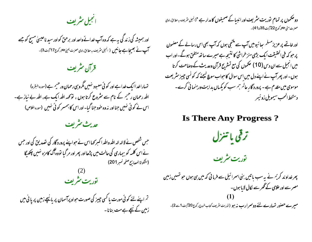انجيل مثريف

اور ہمیشہ کی زند گی بہ ہے کہ وہ آپ غدائے واحد اور برحق کواور سید ناعیسیٰ مسح کو جے ۔<br>**آپ نے بھیجاہے جانیں (** انجیل مثریف بہ مطابق راوی حصرت یمپی پیلٹار کوع17آیت3)۔

قرآن سٹریف

تمہاراغداایک خداہے اور کوئی معبود نہیں مگروہی رحمان ورحیم ہے (سورہ البقرہ) الٹد رحمان رحیم کے نام سے مثروع کرتا ہوں ، تو کہہ الٹد ایک ہے، الٹد بے نیاز ہے۔ اس نے کوئی نہیں جنااور نہ وہ خود جنا گیا۔اور اس کا ہمسر کوئی نہیں (سورہ اعلاص)

حديث مثريف

جس شخص نے لاالہ الہ اللہ واللہ ا کسر کھا اس نے حواسے پرورد گار کی تصدیق کی اور جس نے اس کلمہ کو بیماری کی حالت میں پڑھااور پھر اور مرگیا نووہ آگ کامزہ نہیں چکھیگا (مشكواة المصابح صفحه نمسر 201)

(2)<br>توریت مشریف

<sup>تم</sup> اپنے لئے کوئی مورت یا کسی چیز کی صورت حواو پرآسمان پر یانیچے زمین پر پانی میں زمین کے نیچے ہے مت بنانا۔ **دو حکموں پر تمام لوّریت سٹریف اور انبیا کے صحیفوں کا مدار ہے "**(انجیل سٹریف بہ مطابق راوی<br>حصرت متی م<sup>طلِق</sup>ار کوع 22 <sub>آی</sub>ت 35 تا41)۔

اور خاتمے پر عزیز مسلم پھا ئیومیں آپ سے مکتبی ہوں کہ آپ بھی اس رسالے کے مصنمون پر حبو کہ فمی الحقیقت ایک بڑی منز خراشی کا نتیجہ ہے میرے ساتھ متفق ہوگے۔اور اب میں انجیل سے ان دیں (10) صحموں کی مع تسٹرنح قرآن وحدیث کے وصاحت کرتا ہوں۔اور پھرآپ نےاپنے دل میں اس سوال کا حواب سوچ کیجئے کہ کو نسی حبیر مشریعت موسوی میں مقدم ہے ۔ پرورد گار عا<sup>ل</sup>م ہم سب کو یکساں بدایت ورہنما ٹی کرے۔ دستخط المحب سيمويل زوئيمر

**Is There Any Progress?** 

ترقى يا تنزل

توریت مثریف

پھر خداوند کریم نے یہ سب باتیں بنی اسرائیل سے فرمائی کہ میں ہی ہوں حو تہیں زمین مصر سے اور علامی کے گھر سے لکال لایا ہوں۔ مبیرے حصور تہمارے لئے دوسمرارب نہ ہو (توریت نٹریف کتاب خردج رکوع 20 آیت 1 ہے 2)۔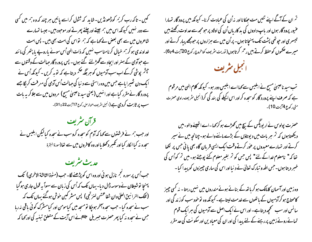کیں۔ تاکہ رب کریم کوڈھونڈیں- شاید کہ طمول کراسے پائیں ہر چند کہ وہ ہم میں کسی سے دور نہیں کیونکہ اس میں ہم جیتے اورچلتے پھرتے اور موحبود بیں۔جیسا تہارے شاعروں میں سے بھی بعض لے کھاہے کہ ہم تواس کی امت بھی بیں۔ پس امت غداوندی ہوکر ہم خیال کرنامناسب نہیں کہ ذات الهی اُس سونے پاروپے پا پتھر کی ما نند ہے حوآدی کے ہمنر اور ایجاد سے گھڑلئے گئے ہوں۔ پس پرورد گار حٖالت کے وقتوں سے چشم پوشی کرکے اب سب آدمیوں کو ہر جگہ <sup>حکم</sup> دیتا ہے کہ توبہ کریں - کیونکہ اُس نے ایک دن شمیرا پاہے جس میں وہ راستی سے د نیا کی جہالت اُس آدمی کی میر فت کر لگا جے پرورد گار نے مقرر کیاہے اور انہیں (یعنی سید ناعیسیٰ مسیح) مردوں میں سے جلا کریہ بات سب پر ثابت کردی ہے (انہیں سڑیف ہمارس رکوع 17 <sub>آیت 2</sub>2ء 31)۔



حديث مثريف حبب اُس پر سورہ نجم نازل ہو ئی اور وہ اس کو پڑھنے لگا۔ حب (مٹوۃ الثالثۃ الاخری) کک پہنچا توشیطان نے وسوسہ ڈال دیا-یہاں تک کہ اُس کی زبان سے سہواً یہ قول جاری ہوگیا ( تلك النرا نبيق العليٰ وان شفاعتهن لننز تمجى) پس مسثر كبين حوش ہوگئے پہاں تك كہ سب نے سجدہ کیا۔ جب سجدہ آمخر ہوجکا لوّمسجد میں کیامومن اور کیامشرک کوئی یاقی نہ رہا جس نے سجدہ نہ کیا پھر حصرت حبیریل علائقانے اس آیت کے متعلق تبنیہ کی اور کھا کہ

تم ان کے آگے اپنے شیں مت حیکانااور نہ اُن کی عمادت کرنا۔ کیونکہ میں پرود گار تہارا عنیور پرود گار ہوں اور پاپ دادوں کی بد کاریاں اُن کی اولاد پر حومحصہ سے عداوت رکھتے ہیں تیسسری اور حپوںتھی پشت تک پہنچاتا ہوں۔ پر اُن میں سے ہزاروں پر حبومجھے پیار کرتے اور میرے حکموں کو حفظ کرتے ہیں رحم کرتاہوں( توریت سریف کتاخروج رکوع20 آیت 4تا6)۔



تب سید ناعیسیٰ مسح نے ابلیس سے <sub>ک</sub>ھااے ابلیس دور ہو۔ کیونکہ **کلام ال**ی میں مرقوم ہے کہ صرف اپنے پرورد گار کوسجدہ کراور اس اکیلے کی بند گی کر(انجیل سریف راوی حصرت متى ركوع 4آيت 10)۔

حصرت پولوس نےار پوپگس کے بیچ میں کھڑے ہو کرکھا۔اے اتھینے والو۔میں دیکھتاہوں کہ <sup>تم</sup> ہر بات میں دیوتاؤں کے بڑے ماننے والے ہو۔چنانچہ میں نے سیر کرتے اور تہارے معیدوں پر عور کرتے وقت ایک ایسی قربان گاہ بھی یا ئی جس پر لکھا تھا کہ" نامعلوم خداکے لئے" پس جس کو <sup>ت</sup>م بغیر معلوم کئے پوجتے ہو۔ میں <sup>ت</sup>م کواُس کی خسر دیتا ہوں۔جس املیہ و تبارک تعالیٰ نے د نیا اور اس کی ساری حبیرزوں کو پیدا کیا ۔

وہ زمین اور آسمان کامالک ہو کر با تھ کے بنانے ہوئے مندروں میں نہیں رہتا - نہ کسی چیپز کامحتاج ہو کرآدمیوں کے ماتھوں سے خدمت لیتا ہے۔ کیونکہ وہ لوحود سب کور ند کی اور سانس اور سب سمجھ دیتاہے۔اور اس نے ایک اصل سے آدمیوں کی ہر ایک قوم تمائے روپے رٰ بین پر رہنے کے لئے پیدا کی اور ان کی معیادیں اور سکو نت کی حد مقرر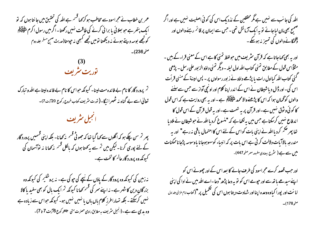عمر بن خطاب نے حمر اسود سے مخاطب ہو کر <sub>ک</sub>ہا قسم ہے ا<sub>للّٰہ</sub> کی تحقیق میں حا نتا ہوں کہ <sup>تو</sup> ا یک پتھر ہے جو بھلائی یا برا ٹی کرنے کی طاقت نہیں رکھتا۔اگر میں رسول اکرم مٹوَ پُلِکَہُ ا کوتجھے لوسہ دیتے ہوئے نہ دیکھتا لومیں تجھے کبھی نہ حپومتا(عدیث صمح مسلم جلد دوم

صمْحە236) ـ

(3)<br>توریت مشریف

تم پرورد گار کا نام بے فائدہ مت لینا۔ کیونکہ حواس کا نام بے فائدہ لیتا ہے اللہ و تبارک تعالیٰ اسے بے گناہ نہ مٹھہرا ریگا۔( تورت سٹریف کتاب خروج رکوع 20 <sub>آئ</sub>ت7)۔ انجيل مثريف

پھر تم سن چکے ہو کہ اگلوں سے کہا گیا تھا کہ جھوٹی <sup>قس</sup>م یہ کھانا- بلکہ اپنی قسمیں پرورد گار کے لئے پوری کرنا۔لیکن میں تم سے یہ کھتا ہوں کہ پالکل قسم مٰہ کھانا نہ توآسمان کی کیونکہ وہ پرورد گارعا<sup>ل</sup>ہ کا تخت ہے۔

نہ زمین کی کیونکہ وہ پرود گار کے یاؤں کے نیچے کی جو کی ہے۔ نہ پروشلیم کی کیونکہ وہ بزرگان دین کا شہر ہے۔ نہ اپنے سمر کی <sup>فس</sup>م کھانا کیونکہ <sup>تم</sup> ایک مال کو بھی سفید یا کالا <sup>نہ</sup>یں کرسکتے - بلکہ تہاراطرز کلام باں با نہ ہاں نہیں نہیں ہو۔ کیونکہ حواس سے زیادہ ہے وہ مدی سے ہے۔(انجیل سٹریف ہہ مطابق راوی حصرت متی علاقلہر کوع 6آیت 7 تا 7)۔ الٹد کی جا نب سے نہیں ہے گمر محققین کے نذد یک اس کی کوئی اصلیت نہیں ہے اور اگر صحیح بھی مان لیاجائے تو یہ ایک آزمائش تھی ۔ جس سے ایمان پر قائم رہنے والوں اور ڈیجمگانے والوں کی تمہیز نہ ہوسکے ۔

اور یہ بھی کہاجاتاہے کہ قرآن سٹریف میں حولفظ تمنی کاہے اس کے معنی قراءکے ہیں ۔ مثلاًاس قول کے مطابق تمنی کتاب اللہ اول لیلہ - دیگر تمنی داؤو الز بور علی رسل - پڑھی گئی کتاب اللہ کیااول رات یا پڑھے داؤونے ز بور رسولوں پر - پس امینۃ کے منیی قرأت اس کی۔ اور ڈال دیاشیطان نے اس کے اندر اپنا کلام اور اونچی آواز سے جس سے سننے والوں کو گھان ہوا کہ اس کا پڑھنے والامحمد ملٹی ایکم ہے - اور یہ بھی روایت ہے کہ اس قول کا کوئی و ثوق نہیں ہے۔اور قرآن پر یہ نہمت ہے۔اور یہ قول قرآن کے اس قول کا اندفاع نہیں کرسکتاہے جس میں یہ لکھاہے کہ "منسوخ کردیااللہ نے حوشیطان نے ملادیا تھا پھر حکم کردیااللہ نے اپنی بات کواس کے لئے اس کااحتمال باقی نہ رہے" اور یہ مندرجہ بالاآبات دلالت کر تی ہے اس بات پر کہ انبیاء کوسہوہوجانا یاوسوسہ پڑجاناممکنات میں سے ہے ( سٹرج بیضادی مطبو*عہ معر*صفحہ447)۔

اور جب قصد کرے حجراسود کی طرف جانے کا بعد اس کے اور چھوٹے اس کو اپنےسیدھے باتھ سے اور حیومے اس کو نوبہ دعا پڑھ" دعا۔اے اللہ میں نے ادا کی اپنی اما نت اور پورا کیاوہ وعدہ اپنا اور شہادت دیتا ہوں اس کی تحمیل پر "(کتابانام عزالی علدادل صمْح 178) ـ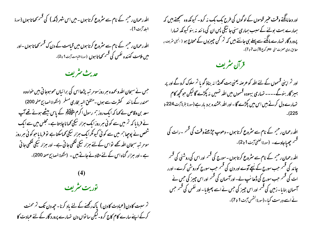اللہ رحمان رحیم کے نام سے مثروع کرتا ہوں - میں اس شہر (کمہ ) کی قسم کھاتا ہوں (سورۃ السلد آيت 1 )-

الٹدرحمان رحیم کے نام سے مثروع کرتا ہوں میں قیامت کے دن ک<sup>ے قس</sup>م کھاتا ہوں -اور میں ملامت کینیدہ نفس کی قسم کھاتا ہوں (سورۃالقیامت آیت1 تا2)۔

حديث مثريف

جس نے سبحان اللہ و بحمدہ ہر روزسو مرتبہ پڑھااس کی برائباں محو ہوجا تی ہیں حواہ وہ سمندر کے ما نند کمثرت سے ہوں -متفق البہ بخاری مسکم (منگواۃ المصابیح صفحہ 200) سعد بن وقاص لے کہا کہ ایک روز ہم رسول اگرم ملٹی ایکم کے پاس بیٹھے ہوئے تھے آپ نے فرمایا کہ <sup>تم</sup> میں سے کوئی ہر روز ایک ہزار نیکی *کم*اناچاہتا ہے۔مجلس میں سے ایک شخص نے پوچیا ہم میں سے کوئی کیونکرایک ہزار نیکی محماسکتا ہے لو فرمایاحوکوئی ہر روز سومر تبہ سبحان اللہ کھے لواس کے لئے ہزار نیکی لکھی جا تی ہے۔ اور ہزار نیکی لکھی جا تی ہے۔اور ہزار گناہ اس کے لئے مثادئے جاتے ہیں ۔ (مُنكوۃالمصابیح صحفہ 200)۔

توریت مثریف

تم سبت کادن (عمادت کادن ) پاک رکھنے کے لئے باد کرنا۔ حیردن تک تم محنت کرکے اپنے سارے کام کاج کرو<sup>۔ لی</sup>کن سا نواں دن تہ<sub>م</sub>ارے پرورد گار کے لئے عبادت کا

اور دعامانگنے وقت عنیر قوموں کے لوگوں کی طرح یک یک نہ کرو۔ کیونکہ وہ سمجھتے ہیں کہ ہمارے بہت بولنے کے سبب ہماری سنی جا ئیگی پس ان کی ما نندینہ بنو کیونکہ تہارا پرورد گار تہارے **مانگنے سے پہلے ہی جانتے ہیں کہ** تم کن چیزوں کے محتاج ہو ( ا<sup>نج</sup>یا سری<sup>ن</sup> بہ مطابق راوی حصرت متی ملائقا<sub>ک</sub>ر کوع 6آیت 7 تا 7)۔

قرآن مثريف

اور تم اپنی قسموں کے لئے اللہ کو عرصہ یعنی ہت کھنڈا نہ بناؤ گو یا تم سلوک کروگے اور پر ہیز گار بنوگے۔۔۔۔ تہاری بیہودہ قسموں میں اللہ تہیں نہ پکڑے گا لیکن حو محمھ کام تہارے دل کرتے ہیں اس میں پکڑے گا - اور اللہ بخشندہ برد بار ہے (سورۃ بقرۃآیت 224 تا  $(225)$ 

الٹدرحمان رحیمہ کے نام سے مثروع کرتا ہوں - دھوپ حپڑھتے وقت کی قسم ۔رات کی قسم جھیاجاوے۔ (سورۃالضمٰیٰ آیت 1 تا 2)۔

الٹدرحمان رحیمہ کے نام سے مثروع کرتا ہوں - سورج کی <sup>قس</sup>م اور اس کی روشنی کی <sup>قس</sup>م چاند کی قسم جب سورج کے نیچے آوے اور دن کی قسم جب سورج کوروشن کرے۔اورر ات کی قسم جب سورج کی ڈھا نپ لے۔اورآسمان کی قسم اور اس چیز کی جس نے آسمان بنایا۔رٰمین کی <sup>قسم</sup> اور اس چیز کی *جس نے اسے پھیلا*یا۔اور نفس کی قسم جس نے اسے درست کیا۔(سورۃاکشمں آیت 1 تا 7)۔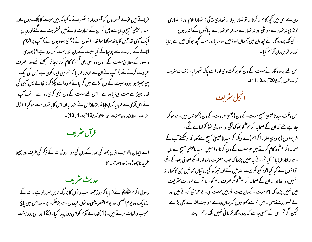فرماتے ہیں توبے قصوروں کو قصوروار نہ ٹھہراتے۔کیونکہ میں سبت کا مالک ہوں۔اور سید ناعیلی مسح وباں سے چل کران کے عمادت خانے میں تسٹریف لے گئے اور وباں ایک آدمی تھاجس کا یا تھ سوکھا ہوا تھا۔انہوں نے (یعنی یہودیوں نے) آپ پرالزام لگانے کے ارادے سے پوچھاکے کیاسبت کے دن تندرست کرناروا ہے؟ ( یہودی دستور کے مطابق سبت کے دن وہ کسی بھی <sup>فس</sup>ر کا کام کرنا ناجا ئر سمجھتے تھے وہ صرف عبادت کرتے تھے ) آپ نے ان سے ارشاد فرما یا کہ <sup>تم</sup> میں ایسا کون ہے جس کی ایک ہی ہصیڑ ہو اور وہ سبت کے دن گڑھے میں گر جائے تووہ اسے پکڑ کر نہ لکالے پس آدمی کی قدر بھیڑسے بہت ہی زیادہ ہے۔ اس لئے سبت کے دن نیکی کرنی رواہے ۔ تب آپ نے اس آدمی سے فرما یا کہ اپناہا تھ بڑھاؤاس نے بڑھا یا اور اس کا باتھ درست ہوگیا ( انجیل مثر یف ہہ مطابق راوی حصرت متی علائقہر کوع12 آیت 1 تا 13)۔

قرآن مثريف

اے ایمان والوحب اذان جمعہ کی نماز کے دن کی ہو نو دوڑو اللہ کے ذکر کی طرف اور بیچنا خرید نا چھوڑ دو (سورۃ جمہ آیت9)۔

حديث مثريف رسول اکرم منٹی ایکھ نے فرما یا کہ روز جمعہ سب دینوں کا بزرگ ترین سر دار ہے۔ اللہ کے نذ دیک وہ یوم الضحیٰ اور یوم الفطر یعنی دو نوں عیدوں سے بڑھکر ہے۔اور اس میں پانچ عمجیب واقعات ہوئے ہیں۔ ( 1 )خدائے آدم کواسی روز پیدا کیا۔ ( 2 )اور اسی روز جنت

دن ہے اس میں تحریہ کام نہ کرنا نہ تو تہارا بیٹا نہ تہاری بیٹی نہ تہاراعلام اور نہ تہاری لونڈی نہ تہارے مواشی اور نہ تہارے میافر حو تہارے پھانگوں کے اندر ہوں ۔ کیونکہ پرورد گار نے جیے دن میں آسمان اور زمین اور دریا اور سب تحبیر حواُن میں ہے بنایا اور سا تویں دن آرام کیا۔

اس لئے پرورد گار نے سبت کے دن کو بر کت دی اور اسے پاک ٹھہرایا-(توریت سریف کتاب خروج رکوع 20آیت 8 تا 11)۔

الجبل مثريف

اس وقت سید ناعیسیٰ مسیح سبت کے دن (یعنی عبادت کے دن )کھیتوں میں سے ہو کر جارہے تھے کہ ان کے صحابہ اکرام پھمو پھوک لکھی اور وہ بالی توڑ کرکھانے لگے ۔ فریسیوں(یہودی علماءاکرام)نے دیکھ کرسید ناعیسیٰ مسح سے کہا کہ دیکھئے آپ کے صحابہ اکرام ؓ وہ کام کرتے ہیں حوسبت کے دن کرناروا نہیں۔سید ناعیلمی مسح نے ان سے ارشاد فرما یا " کیا تم نے یہ نہیں پڑھا کہ جب حصرت داؤد اور انکے صحابی بھوکے تھے توا نہوں نے کیا کیا ؟وہ کیونکر بیت اللہ میں گئے اور تسرک کی روٹراں کھائیں حن کاکھانا نہ انہیں روا تھااور نہ ان کے صحابہ اکرام پھمکو مگر صرف امام کو - یا تم نے نوریت مشر پف میں نہیں پڑھا کہ امام سبت کے دن بیت اللہ میں سبت کی بے حرمتی کرتے ہیں اور بے قصور رہتے ہیں ۔میں تم سے کھتا ہوں کہ یہاں وہ ہے حبوبیت اللہ سے بھی بڑاہے لیکن اگر تم اس کے معنی جانتے کہ پرورد گار قربانی نہیں بلکہ رحم پسند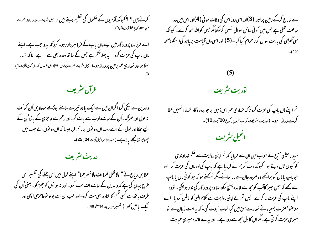کرتے ہیں ؟ ؟ کیونکہ آدمیوں کے حکموں کی تعلیم دیتے ہیں ( انبی<sub>ل</sub> سٹریف بہ مطابق <sub>دادی</sub> حیزت متى ملاِعْلام كوع 15 آيت 3 تا9)۔

اسے فرزندو پرورد گار میں اپنے ماں باپ کے فرمانسر دار رہو۔ کیونکہ یہ واجب ہے۔اپنے ماں باپ کی عزت کرو- - یہ پہلا صحمہ ہے جس کے ساتھ وعدہ بھی ہے-۔ہے- تا کہ تہارا م**صلا ہو اور تہاری عمر رہیں پر درار ہو**۔( انجیل سٹریف حصرت پو<sub>لو</sub>س ملاحم کااہلِ افسیوں کوخط رکوع6آیت 1 یا

قرآن مثريف

والدین سے نیکی کرواگران میں سےایک بادو تیرے سامنے بوڑھے ہوجاویں اُن کواُف نہ بول اور جھڑک-اُن کے سامنے ادب سے بات کر۔اور رحم سے عاجزی کے بازواُن کے یے جھکااور بول کے اسے رب ان دو نوں پر رحم فر پاجیسا کہ ان دو نوں نے جب میں چھوٹا تھامجھے پالاہے۔( سورۃ <sub>الاسرا</sub>ئیل آیت 24 یا 25)۔

حديث مثريف

عطا بن ریاح نے " ولا تقل لھماات ولا تنھرھما" اپنے قول میں اس جملے کی تفسیر اس طرح بیان کی ہے کہ والدین کے سامنے اف مت کرو- اور نہ دو نوں کو جھڑ کو۔ یعنی اُن کی طرف باتھ سے کسی قسم کااشارہ بھی مت کرو- اور حب ان سے بولو لوّعاحمزی اچھی اور نيك ماتين كمهو ( تفسير طبري عله 14مفحه48).

سے خارج کرکے زمین پر اتارا(3)اور اسی روز اس کی وفات ہو ئی (4)اور اس میں وہ ساعت مخفی ہے جس میں کو ئی سائل سوال نہیں کرسکتامگر جس کواللہ عطا کرے۔ کیونکہ سی گھڑی کی بابت سوال کرناحرام کیا گیا۔ (5) اوراسی دن قبامت بریا ہو گی( منکوۃ صفحہ  $-112$ 

 $(5)$ 

توریت مثریف

تم اپنے ماں باپ کی عزت کرو تا کہ تہاری عمر اس زمین پر حو پرورد گار تہارا تہیں عطا کرے درار ہو۔ (توریت سٹریف کتاب خروج رکوع 20آیت 12)۔

انجيل مثريف

سید ناعیلی مسح نے حواب میں ان سے فرما یا کہ <sup>تم</sup> اپنی روایت سے حکم غداوندی کو کیوں ٹال دیتے ہو۔ کیونکہ رب کریم نے فرما پاہے کہ پاپ کی اور ماں کی عزت کر۔ اور حویاپ یاماں کو براکھے وہ صرور جان سے ماراجائے۔ گمر تم کھتے ہو کہ حو کو ئی ماں یا باپ سے کھے کہ جس چیپز کاآپ کومجھ سے فائدہ پہنچ سکتا تھاوہ پرورد گار کی نذر ہوچکی۔ لوّوہ اپنے پاپ کی عزت نہ کرے۔ پس <sup>تم</sup>ر نے اپنی روایت سے **کلام** الٰہی کو باطل کردیا۔اے منافقوحصرت یسعیاہ نے تہارے حق میں کیاحوب نسوت کی۔ کہ یہ امت زبان سے تو میری عزت کرتی ہے۔گمران کا دل مجھ سے دور ہے۔ اور یہ بے فائدہ میری عبادت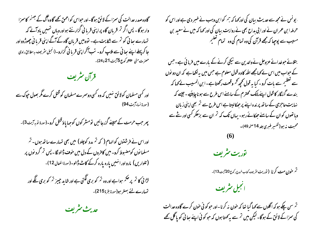گاوہ صدر عدالت کی سمزاکے لائق ہوگا۔اور حبواس کو احمق کھے گاوہ آگ کے جہنم کا سمزا وار ہو گا – پس اگر تم قربان گاہ پراپنی قربا نی گزار نتے ہواور وہاں تہیں یاد آئے کہ تہارے سا ٹی کو ٹم سے شکایت ہے۔ تووہیں قربان گاہ کے آگے اپنی قربا ٹی چھوڑدواور جا کر پہلے اپنے سائی سے ملاپ کرو۔ تب آگر اپنی قربانی گزارو-(انجیل سریف بہ مطابق راوی حصرت متى علاِظہر كوع 5 آيت 21 تا 24)۔

قرآن مثريف

اور کسی مسلمان کولائق نہیں کہ وہ کسی دوسرے مسلمان کو قتل کرے مگر بھول حپوک سے (سورة نساءآيت 94)

پھر جب حرمت کے مہینے گزرجائیں تومشر کوں کوجہا یاؤقتل کرو-(سورۃ نوبہآیت3)۔

اور اس نے فرشتوں کوالہام ( کہ <sup>تم</sup> مدد کوچلو) میں بھی تہارے *ساتھ ہو*ں۔ تم مسلمانوں کومضبوط کرو-میں کافروں کے دل میں خوف ڈالولگا۔ پس <sup>تم</sup> گرد نوں پر (تلواریں) مارواور انہیں پارہ پارہ کرکے کامے ڈالو۔(سورۃانفعال 12)۔

لڑا ئی کا <sup>تر</sup> پر <sup>حک</sup>م ہواہے اور وہ <sup>تر</sup> کو بری لگتی ہے اور شاید جییز <sup>تر</sup> کو بری لگے اور تہمارے لئے بہتر ہو(سورۃ بقرۃ 215)۔

حديث مثريف

<sub>·</sub> یو نس نے م<u>جھ</u> سے حدیث بیان کی اور<sub>ک</sub>ھا کہ <sup>مہ</sup>ر کوا بن وہب نے خس<sub>ب</sub>ر دی ہےاور اس کو حرملہ ابن عمران نے اور ابی بداح بھی نے روایت بیان کی اور کھا کہ میں نے سعید بن 

بتلائے حوضدائے عزوجل نے والدین سے نیکی کرنے کے بارے میں فرما ئی ہے۔جس کے حواب میں اس لے کہامجھے اللہ کاوہ قول معلوم ہے جس میں بہ لکھاہے کہ ان دو نوں سے تعظیم سے مات کرو۔ کیا یہ قول تحریہ <sup>تح</sup>ر وقعت رکھتا ہے۔ا بن المسیب لے *کہ*ا کہ بندے گنہگار کا قول اپنے مالک محترم کے سامنے اس طرح سے ہونا چاہئیے ۔ جیسے کہ نہایت عاجزی کے ساتھ پر ندہ اپنے پر حیکالیتا ہے اس طرح سے تم بھی اپنی زیان وباتھوں کوان کے سامنے حیکائے رہو۔ یہاں تک کہ <sup>تم</sup> ان سے برحکر کسی اور نثے سے محبت نہ ہو(تفسیر طبری جلد 14 منحہ 49)۔

توریت مشریف

تم **خون مت کرنا (ت**وریت س<sup>ٹ</sup>ریف کتاب <sub>خروج رکوع<sup>20</sup>آیت13)۔</sub>



تم سن چکے ہو کہ اگلوں سے کہا گیا تھا کہ خون نہ کرنا۔اور حبو کو ئی خون کرے گاوہ عدالت کی سمزاکے لائق کے ہوگا۔ لیکن میں تم سے یہ کھتا ہوں کہ حبو کو ئی اپنے ہعا ئی کو پاگل کھے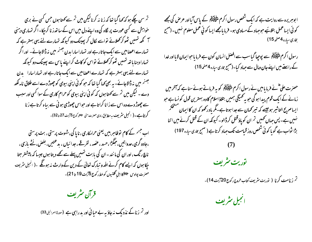تم سن چکے ہو کہ کہا گیا تھا کہ زنا نہ کرنالیکن میں تم سے کھتا ہوں جس کسی نے بری حواہش سے کسی عورت پر لگاہ کی وہ اپنے دل میں اس کے ساتھ زنا کر حیا۔اگر تہاری دہنی <sup>س</sup>ے کھ تہیں ٹھو کر *کھلانے* تواسے لکال کر پھینک دو کیونکہ تہارے لئے یہی بہتر ہے کہ تہارے اعضامیں سے ایک جاتارہے اور تہاراسارا مدن جہنم میں نہ ڈالاجائے۔ اور اگر تہاراد بنا باتھ تہیں ٹھو کر کھلائے تواس کو کاٹ کراپنے پاس سے پھینک دو کیونکہ تہارے لئے یہی بہتر ہے کہ تہارے اعضامیں سے ایک جاتارہے اور تہاراسارا پدن جہنم میں نہ ڈالاجائے- یہ بھی کھا گیا تھا کہ حو کو ٹی اپنی بیوی کو چھوڑ دے اسے طلاق نامہ لکھ دے ۔ لیکن میں تم سے کھتا ہوں کہ کوئی اپنی بیوی کو حرام کاری کے سوا کسی اور سبب سے چھوڑ دے وہ اس سے زانا کراتا ہے اور حبواس چھوڑی ہو ئی سے بیاہ کرتا ہے زنا کر تاہے۔( انجیل سٹریف بہ مطابق <sub>راوی</sub> حر<sub>نت</sub> مت<sub>ی طل</sub>ھمر کوع 15<sub>یت</sub> 27 تا 32)۔

اب جسم کے کام لوظاہر بیں یعنی حرامکاری ، ناپا کی،شہوت پرستی ، بت پرستی ،جادو گری،عدواتیں،حِبگَرُّا،حسد ،عضہ ، تفرقے ،جدائیاں ، بدعتیں، بغض، نُشّے بازی ، ناچ رنگ ، اور ان کی ما نند - ان کی یا بت تہیں پہلے سے تھے دیتا ہوں جیسا کہ پیشتر جتا حِکاہوں کہ ایسے کام کرنے اللہ و تبارک تعالیٰ کے دین کے وارث نہ ہونگے ۔( انجیل سریف حصرت پولوس ملائقہ کا ابلِ گلتیوں کو خط رکوع 15یت 19 تا 21)۔

قرآن مثريف

اور تم <mark>زنا کے نذدیک نہ جاؤ یہ بے حیا ئی اور بد راہی ہے (سورۃاسرائیل33)</mark>

ا بوہریرہ سے روایت ہے کہ ایک شخص رسول اکرم ملٹی ایکم کے پاس ایااور عرص کی مجھے کوئی ایساعمل بتلائیے حوجہاد کے میاوی ہو۔ فرما پامجھے ایسا کوئي عمل معلوم نہیں۔ (صبح بخاري سياره 4 صفحه 15)

رسول اکرم م<del>ٹوئی</del>لکھ سے پوچپا گیاسب سے افضل انسان کون ہے فرما یا حوایمان لایااور خدا کے راستے میں اپنے جان ومال سے جہاد کیا-(صبح <sub>جّار</sub>ی س<sub>با</sub>رہ 4صفحہ 15) <sup>م</sup>

حصرت علی ؓ نے فرما یا میں نے رسول اکرم م<del>لٹی اِی</del>کم کو یہ فرماتے ہوئے سنا ہے کہ آخر میں زمانے کے ایک قوم پیدا ہو گی حویہ تھمیگی ہمیں بتلاؤاسلام کاوہ بہترین قول کو نساہے حو ایساصریح التاثیر ہوجیے کہ تیر کمان سے جدا ہوتا ہے۔مگر مادر کھو کہ ان کاایمان مشحکم نہیں ہے۔ پس جہاں تھمیں تم ان کو یاؤ قتل کر ڈالو۔کیونکہ ان کے قتل کرنے میں اتنا بڑا ثواب ہے گو ما کو ئی شخص روز قیامت تک جہاد کرتا ہے ( صبح ب<sub>خار</sub>ی س<sub>یادہ</sub> 197)



تم زنامت کرنا ( توریت سریف کتاب خروج رکوع20آیت14)۔

انجيل مثريف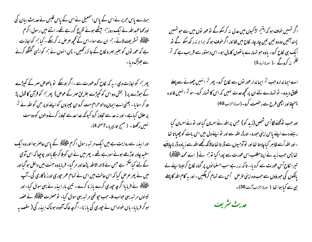ہمارے پاس حریر نے اس کے پاس اسمعیل نے اس کے پاس قیس نے عدیث بیان کی اور کہاعبداللہ نے ایک روز ہم بیٹھے ہوئے تفریح کررہے تھے۔اتنے میں رسول اکرم م<del>لط</del>َقِيَّةً و تسثر يف لانے- تهر ان سے سواء اس کے *محچھ عر* ص نہ کرسکے۔ کیا تہر کواجازت ہے کہ عور لوں کو بغیر مہر و لکاح کے جا ئزر تھیں۔ پس انہوں نے ہم کوایسی گفتگو کرنے سے جھڑک دیا۔

پھر ہم کواجازت دی - یہ کہ لکاح کروعورت سے - اگر ہوسکے تو بالعوص مہر کے کیپڑے کے حوڑے پر ( بخش دواس کو کیپڑے بطریق مہر کے عوصٰ) پھر ہم کو قرآن کا قول پڑ ھ کر سنایا۔ یعنی اے ایمان والوحرام مت کروان چیپزوں کواپنے اوپر حن کواللہ نے تم پر حلال کیاہے۔اور نہ حد سے تحاوز کرو کیونکہ خدا حد سے تحاوز کرنے والوں کو دوست نهبس رکھتا۔ ( صحیح بخاری بارہ 7صفحہ4)۔

اور ابیذر سے روایت ہے میں ایک مرتبہ رسول اکرم منتخلِکہؓ کے پاس حاصر ہوااور وہ ایک سفید چادر اوڑھے ہوئے سور ہے تھے - پھر میں نے ان کوہلا کر جگا یا اور پوچیا کہ اس آدمی کے لئے کیا حکم ہے جس نے لاالہ الااللہ پڑھا اور مر گیا۔ فرما یاوہ جنت میں داخل ہو گیااور میں نے پھر عرص کیا کہ اس حالت میں اس نے تمام عمر حپوری اورز ناکاری کی۔آپ م<del>لٹی آی</del>م نے فرما یاا *گرچہ ح*وری کرے یا زنا کرے۔ تین بار ابیذر نے یہی سوال کیا۔اور تیسوں مرتبہ یہی حواب ملا۔حب حپوتھی مرتبہ یہی سوال کیا۔ تو حصرت ملوَّ اِیکنِکُمْ نے عصہ ہو کر فرمایا- باں حواہ اس نے حپوری کی باز نا-اگر چہ خاک آلودہ ہو ناک ابیذر کی ( مقصد یہ اگر تہیں خوف ہو کہ یتیم لڑکیوں میں عدل نہ کرسکوگے نوعور نوں میں سے جو تہیں پسند آئیں دو دو تین تین چار چار لکاح میں لاؤاور اگر خوف ہو کہ برا بر نہ رکھ سکو گے تو ایک ہی لکاح کرو- یاوہ حبو تہارے پاتھوں کامال ہو۔اس دستور سے قریب ہے کہ <sup>مت</sup>ر ظلم نہ کروگے ۔( سورۃ نباء3)

اے ایمانداروجب <sup>ت</sup>م ایماندار عور توں سے لکاح کرو۔ پھر <sup>تم</sup> انہیں چھونے سے پہلے طلاق دیدو- تو تہارے لئے ان پر محچھ عدت نہیں کہ اس کا شمار کرو- سو تم انہیں فائدہ پہنچاؤ اور اچھی طرح سے رخصت کرو۔(سورۃاحرٰاب49)

اور حب نوَ محتے لگااُس شخص (زید کو) حس پر اللہ نے احسان کیااور نو نے احسان کیا رہنے دے اپنے پاس اپنی حورو- اورڈر اللہ سے اور تو اپنے دل میں اس بات کو چھپاتا تھا ۔اور اللہ اُسے ظاہر کیا چاہتا تھا اور نوآدمیوں سے ڈر تا تھا حالانکہ تجھے اللہ سے زیادہ ڈر نا چاہئیے تھا پس جب زید نے اپنامطلب اس عورت سے پورا کیا تو ہم نے ( اے محمد ملٹی ایکم) تیرا لکاح اُس عورت سے کردیا۔ تاکہ نہ رہے سب مسلمانوں پر گناہ لکاح کراپنااپنے لے پالکوں کی حوروَوں سے حب وہ اپنی عرص گے سے تمام کر چکیں ۔اور بہ کام اللہ کا پہلے ہی سے کیا ہوا تھا ( سورۃاحرٰاب آیت36)۔

حديث مثريف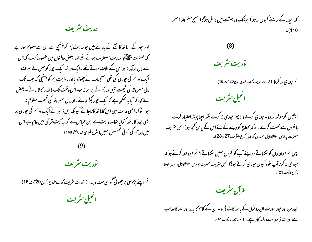حديث مثريف

اور حپور کے پاتھ کاٹنے کے بارے میں حبوعدیث ہم کو ہننچی ہے اس سے معلوم ہوتاہے کہ حصرت ملٹی ایکم بہایت مضطرب ہوتے تھے اور بعض حالتوں میں خصوصاً حب کہ اس سے مال برآمد نہ ہواس کے خلاف ہوتے تھے ۔ایک مرتبہ ایک حپور کو جس نے صرف ایک در ہم کی حپوری کی تھی –آنجناب نے چھوڑ دیااور روایت ہم کو پہنچی کہ جب تک مال مسروقہ کی قیمت تین درہم کے برا بر نہ ہو۔اس وقت تک باتھ نہ کاٹاجائے - بعض لے کہا کہ آیا یہ ممکن ہے کہ ایک حپور پکڑاجائے -اور مال مسروقہ کی قیمت معلوم نہ ہو۔ نوکیاایسی حالت میں اس کابا تھ کاٹا جائے کیونکہ ابن زبیر نے ایک درہم کی حپوری پر بھی حبور کا یا تھ کٹوا یا تھا۔روایت ہے ابن عباس سے کہ یہ آیت قرآن میں عام ہے اس میں درہم کی کوئی تخصیص نہیں(مثرح طبری <sub>جنو</sub>6من<sub>و</sub> 148)

توريت مثريف

تم اپنے پڑوسی پر جھوٹی گواہی مت دینا۔( توریت سریف کتاب خروج رکوع 20آیت 16)۔ انجيل مثريف

کہ ابیڈر کے سامنے کیوں نہ ہو) بیشک وہ بہشت میں داخل ہوگا( صبح مسلم علد 1 صفحہ  $(110$ 

 $(8)$ 

توریت مثریف

تم **جوری نه کرنا (** توریت سریف ک<sub>تاب</sub> خردج رکوع 20 <sub>آی</sub>ت 15)

انجيل مثريف

ابلیس کوموقعہ نہ دو۔حپوری کرنےوالا پھر حپوری نہ کرے بلکہ احیا پیشہ اختیار کرے باتھوں سے محنت کرے - تاکہ ممتاج کو دینے کے لئے اس کے پاس تحچھ ہو( انجیل سریف ۔<br>حصرت پولوس ع<sup>لاظ</sup>اکا اہل افسیوں کو خط رکوع 4 آیت 27 تا 28)۔

پس ٽم حواوروں کوسکھاتے ہواپنےآپ کو کیوں نہیں سکھاتے ؟ ٽم حووعظ کرتے ہو کہ حپو**ری نه کرناآپ خود کیول حپوری کرتے ہو**؟(انجیل مثریف حصرت پولوس ﷺکاہل روس<sub>ت</sub>ں کوخط رکوع2آیت21)۔

قرآن مثريف

حپور مر د اور حپور عورت ان دو نوں کے با تھ کاٹ ڈالو - ان کے کام کا بدلہ اور اللہ کا عذاب ہے اور الٹیرز بردست پختہ کار ہے۔ ( سورۃالیائدہ آیت 41)۔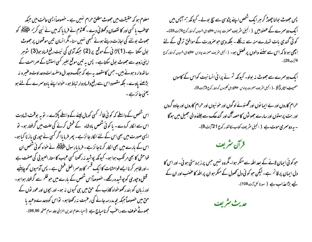معلوم ہو کہ حقیقت میں جھوٹ مطلق حرام نہیں ہے ۔ حصوصاً ایسی حالت میں جبکہ مخاطب یا کسی اور کا نقصان دکھلائی دے۔ کلثوم نے فرما یا کہ میں نے نبی کریم مٹی ایکم کو جھوٹ بولنے کی اجازت دیتے ہوئے کبھی نہیں سنا۔ گمرا نسان تین موقعوں پر جھوٹ بول سکتا ہے۔(1)لڑائی کے موقع پر (2) جبکہ آدمی کی نیت رفع فساد ہو(3) شوہر اپنی زوجہ سے جھوٹ بول سکتاہے۔ پس یہ تین موقع بغیر کسی استشناکے صراحت کے سا تھ وار دېونے بيں - حس کامقصد پہ ہے کہ جنگ وجدال ومفسدات وعداوت وعنيره نہ بڑھنے یاوے۔ بلکہ مقصود اس سے رفع وفساد وار تباط ہو- حواہ اپنے با دوسمرے کے لئے ہو یعنی عائزہے۔

اس شخص کے واسطے کہ کوئی ظالم کسی کومال لینے کے واسطے پکڑے ۔ تو یہ بوقت شہادت اس سے الکار کردے۔ ما کو ئی شخص یادشاہ کے فحش کرنے کی علت میں گرفتار ہو۔ تو ایسی صورت میں بھی اس کے لئے الکار جا ئز ہے۔ پھر فرما یااگر کسی نے حپور می باز نا کیا ہو۔ اس کے مارے میں بھی الکار کرناجا ئزہے۔ فرما مارسول ملٹی ایکم نے حواہ کوئی شخص ان فواحش کا بھی مرتکب ہوا ہو۔ کیونکہ پوشید نہ رکھنا کسی عیب کا ستار العیو بی کی صفت ہے ۔اور ظاہر کرنا ایسے فواحشات کا ایک قسم کا دوسمرا فعل قحش ہے ۔ پس آدمیوں کو چاہئیے قتل وحپوری کو پوشیدہ رکھے۔ خصوصاً اس شخص کے مارے میں حوظلم سے گرفتار ہوا ہو۔ اور زبان کو بند رکھو خواہ کاذب کے حق میں ہی کیوں نہ ہو۔اور بچوں اور عور توں کے حق میں خصوصاً حبکہ بچہ مدرسہ جانے کی رعبت نہ رکھتا ہو۔ تواس کووعدے وعید پا جھوٹے **حنوف سے راعب کرنامباج ہے (**احیاءعلوم ا<sub>للہ ی</sub>ں النزالی جلد سوم صفحہ 98,96)۔

پس جھوٹ بولنا چھوڑ کر ہر ایک شخص اپنے پڑوسی سے سچ بولے۔ کیونکہ ہم آپس میں ا ک**ک دوسمرے کے عصو بی**ں ( انجیل مثر یف حصرت پ<sub>ولو</sub>س ﷺکا <sub>ا</sub>ہل افسپوں کوخط رکوع<sup>74</sup>یت 25)۔ کوئی گندی بات تہارے منہ سے پہ لکلے - بلکہ وہی حو صرورت کے موافق ترقی کے لئے ا**چھی ہو تا کہ اس سے سفنے والوں پر فصل ہو**۔ ( انجیل سٹریف حسزت پولوس ﷺکااہل افسیوں کوخط رکوع



حرام کاروں اور بے ایما نوں اور تھسونے لوگوں اور خو نیوں اور حرام کاروں اور جادو گروں اور بت پرستوں اور سارے جھوٹوں کا حصہ آگ اور گندھک سے جلنے والی جھیل میں ہوگا - یہ دوسمری موت ہے ( انجیل سریف کتاب کاشفہ رکوع 21آیت8)۔

قرآن مثريف

حو کوئی ایمان لانے کے بعد اللہ سے منکر ہوا۔ گمروہ نہیں جس پر زبردستی ہوئی۔ اور اس کا دل ایمان پر قائم ہے۔لیکن حو کو ئی دل کھول کے منکر ہوان پر اللہ کا عضب اور ان کے لیے بڑاعذاب ہے ( سورۃ نحل آیت108)۔

حديث مثريف